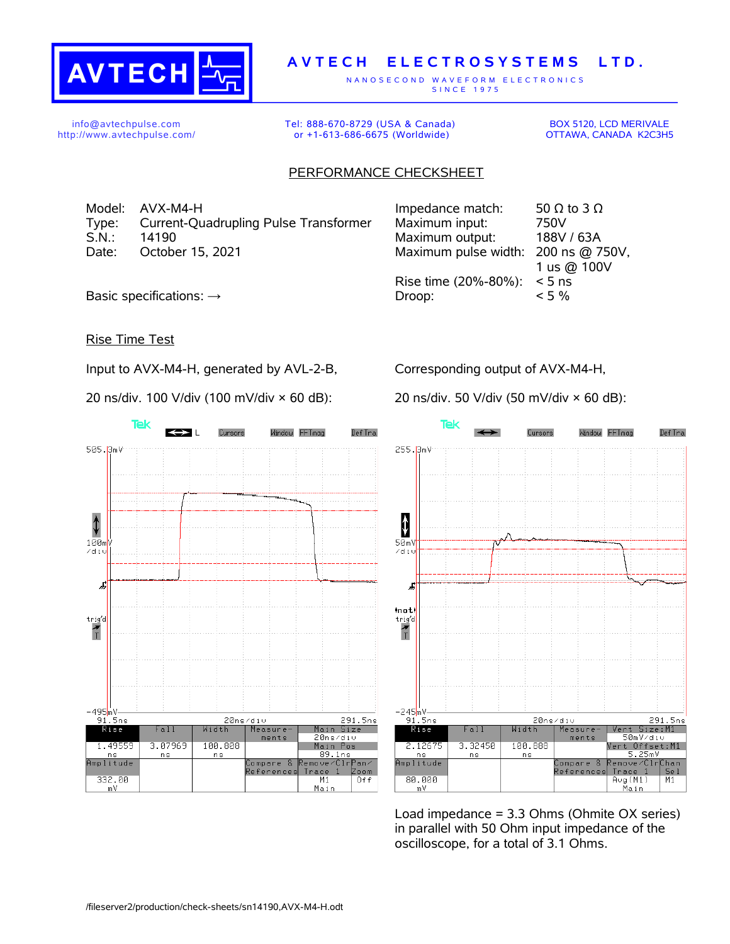

## **A V T E C H E L E C T R O S Y S T E M S L T D .**

N A N O S E C O N D W A V E F O R M E L E C T R O N I C S S IN C E 1975

info@avtechpulse.com http://www.avtechpulse.com/ Tel: 888-670-8729 (USA & Canada) or +1-613-686-6675 (Worldwide)

BOX 5120, LCD MERIVALE OTTAWA, CANADA K2C3H5

## PERFORMANCE CHECKSHEET

Model: AVX-M4-H Type: Current-Quadrupling Pulse Transformer<br>S.N.: 14190 S.N.: 14190 Maximum output: 188V / 63A Date: October 15, 2021

| Impedance match:                    | 50 $\Omega$ to 3 $\Omega$ |
|-------------------------------------|---------------------------|
| Maximum input:                      | 750V                      |
| Maximum output:                     | 188V / 63A                |
| Maximum pulse width: 200 ns @ 750V, |                           |
|                                     | 1 us @ 100V               |
| Rise time (20%-80%):                | $< 5$ ns                  |
| Droop:                              | $< 5\%$                   |
|                                     |                           |

Basic specifications:  $\rightarrow$ 

## Rise Time Test

Input to AVX-M4-H, generated by AVL-2-B,

20 ns/div. 100 V/div (100 mV/div × 60 dB):

Corresponding output of AVX-M4-H,

20 ns/div. 50 V/div (50 mV/div × 60 dB):





Load impedance = 3.3 Ohms (Ohmite OX series) in parallel with 50 Ohm input impedance of the oscilloscope, for a total of 3.1 Ohms.

/fileserver2/production/check-sheets/sn14190,AVX-M4-H.odt